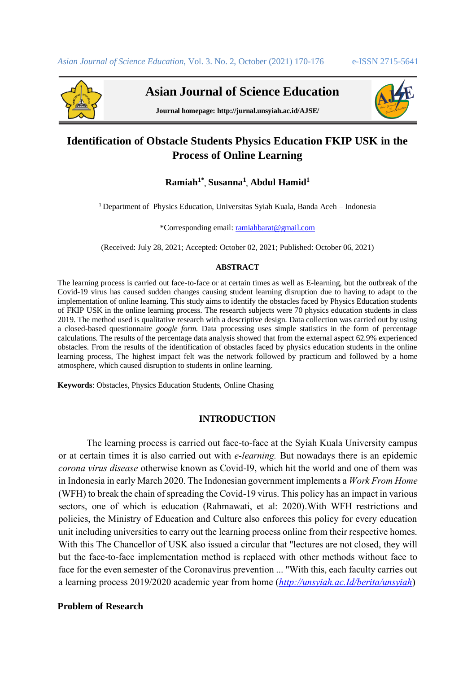

 **Asian Journal of Science Education**



**Journal homepage: http://jurnal.unsyiah.ac.id/AJSE/**

# **Identification of Obstacle Students Physics Education FKIP USK in the Process of Online Learning**

## **Ramiah1\* , Susanna<sup>1</sup> , Abdul Hamid<sup>1</sup>**

<sup>1</sup> Department of Physics Education, Universitas Syiah Kuala, Banda Aceh – Indonesia

\*Corresponding email[: ramiahbarat@gmail.com](mailto:ramiahbarat@gmail.com)

(Received: July 28, 2021; Accepted: October 02, 2021; Published: October 06, 2021)

#### **ABSTRACT**

The learning process is carried out face-to-face or at certain times as well as E-learning, but the outbreak of the Covid-19 virus has caused sudden changes causing student learning disruption due to having to adapt to the implementation of online learning. This study aims to identify the obstacles faced by Physics Education students of FKIP USK in the online learning process. The research subjects were 70 physics education students in class 2019. The method used is qualitative research with a descriptive design. Data collection was carried out by using a closed-based questionnaire *google form.* Data processing uses simple statistics in the form of percentage calculations. The results of the percentage data analysis showed that from the external aspect 62.9% experienced obstacles. From the results of the identification of obstacles faced by physics education students in the online learning process, The highest impact felt was the network followed by practicum and followed by a home atmosphere, which caused disruption to students in online learning.

**Keywords**: Obstacles, Physics Education Students, Online Chasing

## **INTRODUCTION**

The learning process is carried out face-to-face at the Syiah Kuala University campus or at certain times it is also carried out with *e-learning.* But nowadays there is an epidemic *corona virus disease* otherwise known as Covid-I9, which hit the world and one of them was in Indonesia in early March 2020. The Indonesian government implements a *Work From Home*  (WFH) to break the chain of spreading the Covid-19 virus. This policy has an impact in various sectors, one of which is education (Rahmawati, et al: 2020).With WFH restrictions and policies, the Ministry of Education and Culture also enforces this policy for every education unit including universities to carry out the learning process online from their respective homes. With this The Chancellor of USK also issued a circular that "lectures are not closed, they will but the face-to-face implementation method is replaced with other methods without face to face for the even semester of the Coronavirus prevention ... "With this, each faculty carries out a learning process 2019/2020 academic year from home (*[http://unsyiah.ac.Id/berita/unsyiah](http://unsyiah.ac.id/berita/unsyiah)*)

#### **Problem of Research**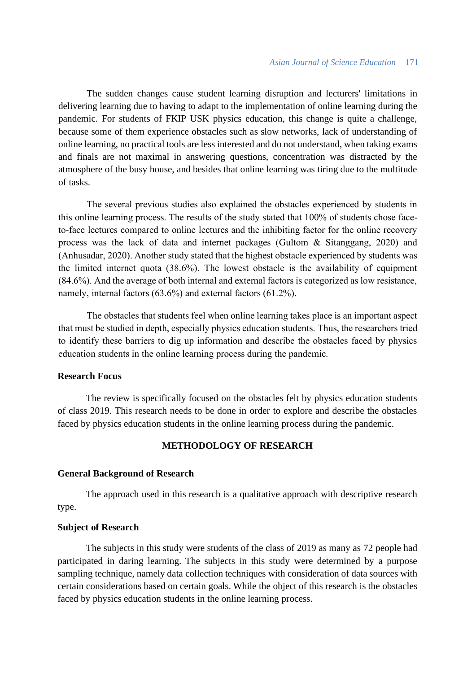The sudden changes cause student learning disruption and lecturers' limitations in delivering learning due to having to adapt to the implementation of online learning during the pandemic. For students of FKIP USK physics education, this change is quite a challenge, because some of them experience obstacles such as slow networks, lack of understanding of online learning, no practical tools are less interested and do not understand, when taking exams and finals are not maximal in answering questions, concentration was distracted by the atmosphere of the busy house, and besides that online learning was tiring due to the multitude of tasks.

The several previous studies also explained the obstacles experienced by students in this online learning process. The results of the study stated that 100% of students chose faceto-face lectures compared to online lectures and the inhibiting factor for the online recovery process was the lack of data and internet packages (Gultom & Sitanggang, 2020) and (Anhusadar, 2020). Another study stated that the highest obstacle experienced by students was the limited internet quota (38.6%). The lowest obstacle is the availability of equipment (84.6%). And the average of both internal and external factors is categorized as low resistance, namely, internal factors (63.6%) and external factors (61.2%).

The obstacles that students feel when online learning takes place is an important aspect that must be studied in depth, especially physics education students. Thus, the researchers tried to identify these barriers to dig up information and describe the obstacles faced by physics education students in the online learning process during the pandemic.

#### **Research Focus**

The review is specifically focused on the obstacles felt by physics education students of class 2019. This research needs to be done in order to explore and describe the obstacles faced by physics education students in the online learning process during the pandemic.

## **METHODOLOGY OF RESEARCH**

#### **General Background of Research**

The approach used in this research is a qualitative approach with descriptive research type.

#### **Subject of Research**

The subjects in this study were students of the class of 2019 as many as 72 people had participated in daring learning. The subjects in this study were determined by a purpose sampling technique, namely data collection techniques with consideration of data sources with certain considerations based on certain goals. While the object of this research is the obstacles faced by physics education students in the online learning process.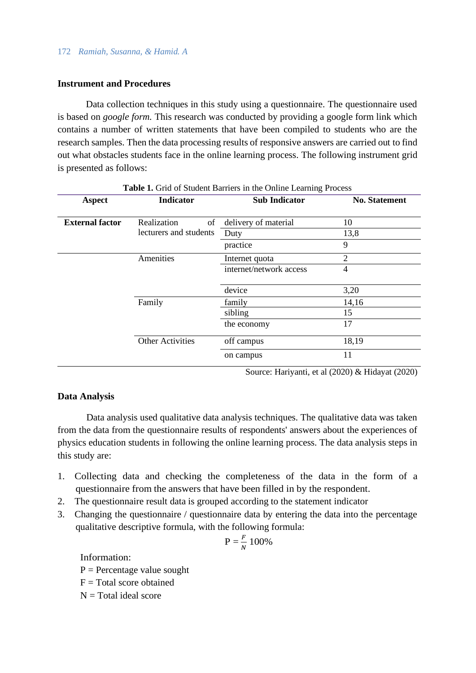## 172 *Ramiah, Susanna, & Hamid. A*

## **Instrument and Procedures**

Data collection techniques in this study using a questionnaire. The questionnaire used is based on *google form.* This research was conducted by providing a google form link which contains a number of written statements that have been compiled to students who are the research samples. Then the data processing results of responsive answers are carried out to find out what obstacles students face in the online learning process. The following instrument grid is presented as follows:

| <b>Aspect</b>          | <b>Indicator</b>        | <b>Sub Indicator</b>    | <b>No. Statement</b> |
|------------------------|-------------------------|-------------------------|----------------------|
| <b>External factor</b> | Realization<br>of       | delivery of material    | 10                   |
|                        | lecturers and students  | Duty                    | 13,8                 |
|                        |                         | practice                | 9                    |
|                        | Amenities               | Internet quota          | $\overline{2}$       |
|                        |                         | internet/network access | 4                    |
|                        |                         | device                  | 3,20                 |
|                        | Family                  | family                  | 14,16                |
|                        |                         | sibling                 | 15                   |
|                        |                         | the economy             | 17                   |
|                        | <b>Other Activities</b> | off campus              | 18,19                |
|                        |                         | on campus               | 11                   |

#### **Table 1.** Grid of Student Barriers in the Online Learning Process

Source: Hariyanti, et al (2020) & Hidayat (2020)

## **Data Analysis**

Data analysis used qualitative data analysis techniques. The qualitative data was taken from the data from the questionnaire results of respondents' answers about the experiences of physics education students in following the online learning process. The data analysis steps in this study are:

- 1. Collecting data and checking the completeness of the data in the form of a questionnaire from the answers that have been filled in by the respondent.
- 2. The questionnaire result data is grouped according to the statement indicator
- 3. Changing the questionnaire / questionnaire data by entering the data into the percentage qualitative descriptive formula, with the following formula:

$$
P = \frac{F}{N} 100\%
$$

Information:

 $P =$  Percentage value sought

- $F = Total score obtained$
- $N = Total ideal score$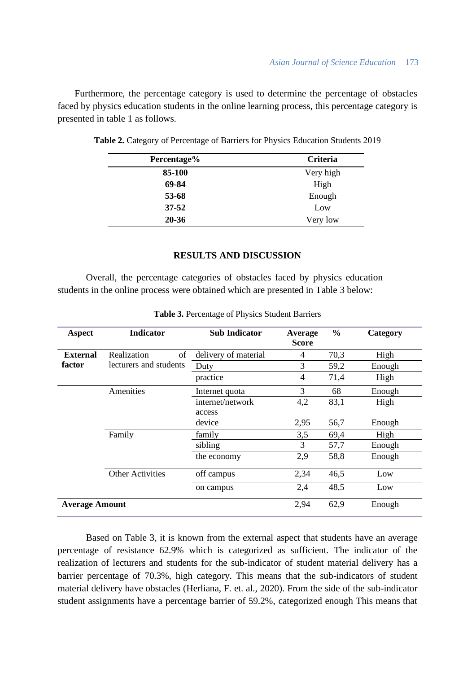Furthermore, the percentage category is used to determine the percentage of obstacles faced by physics education students in the online learning process, this percentage category is presented in table 1 as follows.

| Percentage% | <b>Criteria</b> |
|-------------|-----------------|
| 85-100      | Very high       |
| 69-84       | High            |
| 53-68       | Enough          |
| $37 - 52$   | Low             |
| $20 - 36$   | Very low        |

**Table 2.** Category of Percentage of Barriers for Physics Education Students 2019

## **RESULTS AND DISCUSSION**

Overall, the percentage categories of obstacles faced by physics education students in the online process were obtained which are presented in Table 3 below:

| <b>Aspect</b>         | <b>Indicator</b>        | <b>Sub Indicator</b> | Average<br><b>Score</b> | $\frac{0}{0}$ | Category |
|-----------------------|-------------------------|----------------------|-------------------------|---------------|----------|
| <b>External</b>       | Realization<br>of       | delivery of material | $\overline{4}$          | 70,3          | High     |
| factor                | lecturers and students  | Duty                 | 3                       | 59,2          | Enough   |
|                       |                         | practice             | 4                       | 71,4          | High     |
|                       | Amenities               | Internet quota       | 3                       | 68            | Enough   |
|                       |                         | internet/network     | 4,2                     | 83,1          | High     |
|                       |                         | access               |                         |               |          |
|                       |                         | device               | 2,95                    | 56,7          | Enough   |
|                       | Family                  | family               | 3,5                     | 69,4          | High     |
|                       |                         | sibling              | 3                       | 57,7          | Enough   |
|                       |                         | the economy          | 2,9                     | 58,8          | Enough   |
|                       | <b>Other Activities</b> | off campus           | 2,34                    | 46,5          | Low      |
|                       |                         | on campus            | 2,4                     | 48,5          | Low      |
| <b>Average Amount</b> |                         | 2,94                 | 62,9                    | Enough        |          |

**Table 3.** Percentage of Physics Student Barriers

Based on Table 3, it is known from the external aspect that students have an average percentage of resistance 62.9% which is categorized as sufficient. The indicator of the realization of lecturers and students for the sub-indicator of student material delivery has a barrier percentage of 70.3%, high category. This means that the sub-indicators of student material delivery have obstacles (Herliana, F. et. al., 2020). From the side of the sub-indicator student assignments have a percentage barrier of 59.2%, categorized enough This means that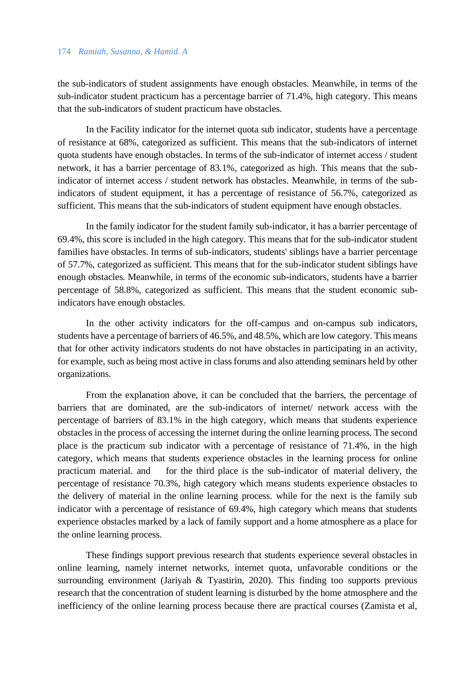#### 174 *Ramiah, Susanna, & Hamid. A*

the sub-indicators of student assignments have enough obstacles. Meanwhile, in terms of the sub-indicator student practicum has a percentage barrier of 71.4%, high category. This means that the sub-indicators of student practicum have obstacles.

In the Facility indicator for the internet quota sub indicator, students have a percentage of resistance at 68%, categorized as sufficient. This means that the sub-indicators of internet quota students have enough obstacles. In terms of the sub-indicator of internet access / student network, it has a barrier percentage of 83.1%, categorized as high. This means that the subindicator of internet access / student network has obstacles. Meanwhile, in terms of the subindicators of student equipment, it has a percentage of resistance of 56.7%, categorized as sufficient. This means that the sub-indicators of student equipment have enough obstacles.

In the family indicator for the student family sub-indicator, it has a barrier percentage of 69.4%, this score is included in the high category. This means that for the sub-indicator student families have obstacles. In terms of sub-indicators, students' siblings have a barrier percentage of 57.7%, categorized as sufficient. This means that for the sub-indicator student siblings have enough obstacles. Meanwhile, in terms of the economic sub-indicators, students have a barrier percentage of 58.8%, categorized as sufficient. This means that the student economic subindicators have enough obstacles.

In the other activity indicators for the off-campus and on-campus sub indicators, students have a percentage of barriers of 46.5%, and 48.5%, which are low category. This means that for other activity indicators students do not have obstacles in participating in an activity, for example, such as being most active in class forums and also attending seminars held by other organizations.

From the explanation above, it can be concluded that the barriers, the percentage of barriers that are dominated, are the sub-indicators of internet/ network access with the percentage of barriers of 83.1% in the high category, which means that students experience obstacles in the process of accessing the internet during the online learning process. The second place is the practicum sub indicator with a percentage of resistance of 71.4%, in the high category, which means that students experience obstacles in the learning process for online practicum material. and for the third place is the sub-indicator of material delivery, the percentage of resistance 70.3%, high category which means students experience obstacles to the delivery of material in the online learning process. while for the next is the family sub indicator with a percentage of resistance of 69.4%, high category which means that students experience obstacles marked by a lack of family support and a home atmosphere as a place for the online learning process.

These findings support previous research that students experience several obstacles in online learning, namely internet networks, internet quota, unfavorable conditions or the surrounding environment (Jariyah & Tyastirin, 2020). This finding too supports previous research that the concentration of student learning is disturbed by the home atmosphere and the inefficiency of the online learning process because there are practical courses (Zamista et al,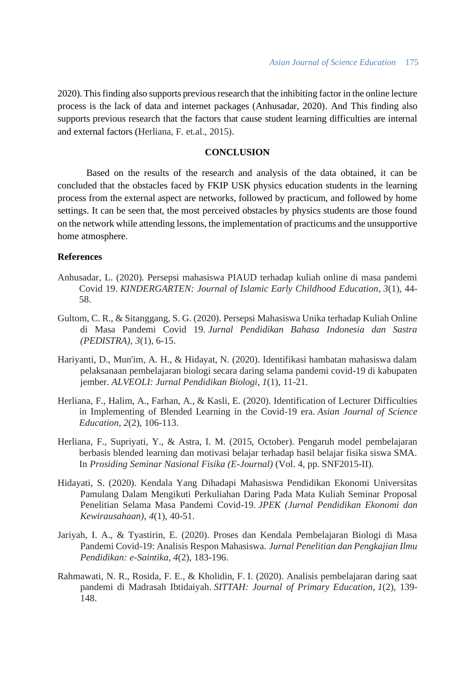2020).This finding also supports previous research that the inhibiting factor in the online lecture process is the lack of data and internet packages (Anhusadar, 2020). And This finding also supports previous research that the factors that cause student learning difficulties are internal and external factors (Herliana, F. et.al., 2015).

## **CONCLUSION**

Based on the results of the research and analysis of the data obtained, it can be concluded that the obstacles faced by FKIP USK physics education students in the learning process from the external aspect are networks, followed by practicum, and followed by home settings. It can be seen that, the most perceived obstacles by physics students are those found on the network while attending lessons, the implementation of practicums and the unsupportive home atmosphere.

## **References**

- Anhusadar, L. (2020). Persepsi mahasiswa PIAUD terhadap kuliah online di masa pandemi Covid 19. *KINDERGARTEN: Journal of Islamic Early Childhood Education*, *3*(1), 44- 58.
- Gultom, C. R., & Sitanggang, S. G. (2020). Persepsi Mahasiswa Unika terhadap Kuliah Online di Masa Pandemi Covid 19. *Jurnal Pendidikan Bahasa Indonesia dan Sastra (PEDISTRA)*, *3*(1), 6-15.
- Hariyanti, D., Mun'im, A. H., & Hidayat, N. (2020). Identifikasi hambatan mahasiswa dalam pelaksanaan pembelajaran biologi secara daring selama pandemi covid-19 di kabupaten jember. *ALVEOLI: Jurnal Pendidikan Biologi*, *1*(1), 11-21.
- Herliana, F., Halim, A., Farhan, A., & Kasli, E. (2020). Identification of Lecturer Difficulties in Implementing of Blended Learning in the Covid-19 era. *Asian Journal of Science Education*, *2*(2), 106-113.
- Herliana, F., Supriyati, Y., & Astra, I. M. (2015, October). Pengaruh model pembelajaran berbasis blended learning dan motivasi belajar terhadap hasil belajar fisika siswa SMA. In *Prosiding Seminar Nasional Fisika (E-Journal)* (Vol. 4, pp. SNF2015-II).
- Hidayati, S. (2020). Kendala Yang Dihadapi Mahasiswa Pendidikan Ekonomi Universitas Pamulang Dalam Mengikuti Perkuliahan Daring Pada Mata Kuliah Seminar Proposal Penelitian Selama Masa Pandemi Covid-19. *JPEK (Jurnal Pendidikan Ekonomi dan Kewirausahaan)*, *4*(1), 40-51.
- Jariyah, I. A., & Tyastirin, E. (2020). Proses dan Kendala Pembelajaran Biologi di Masa Pandemi Covid-19: Analisis Respon Mahasiswa. *Jurnal Penelitian dan Pengkajian Ilmu Pendidikan: e-Saintika*, *4*(2), 183-196.
- Rahmawati, N. R., Rosida, F. E., & Kholidin, F. I. (2020). Analisis pembelajaran daring saat pandemi di Madrasah Ibtidaiyah. *SITTAH: Journal of Primary Education*, *1*(2), 139- 148.